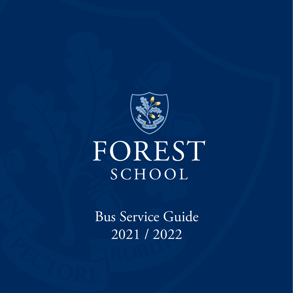

# FOREST SCHOOL

Bus Service Guide 2021 / 2022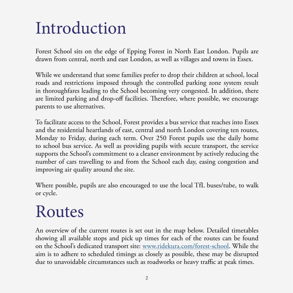# Introduction

Forest School sits on the edge of Epping Forest in North East London. Pupils are drawn from central, north and east London, as well as villages and towns in Essex.

While we understand that some families prefer to drop their children at school, local roads and restrictions imposed through the controlled parking zone system result in thoroughfares leading to the School becoming very congested. In addition, there are limited parking and drop-off facilities. Therefore, where possible, we encourage parents to use alternatives.

To facilitate access to the School, Forest provides a bus service that reaches into Essex and the residential heartlands of east, central and north London covering ten routes, Monday to Friday, during each term. Over 250 Forest pupils use the daily home to school bus service. As well as providing pupils with secure transport, the service supports the School's commitment to a cleaner environment by actively reducing the number of cars travelling to and from the School each day, easing congestion and improving air quality around the site.

Where possible, pupils are also encouraged to use the local TfL buses/tube, to walk or cycle.

# Routes

An overview of the current routes is set out in the map below. Detailed timetables showing all available stops and pick up times for each of the routes can be found on the School's dedicated transport site: [www.ridekura.com/forest-school](http://www.ridekura.com/forest-school). While the aim is to adhere to scheduled timings as closely as possible, these may be disrupted due to unavoidable circumstances such as roadworks or heavy traffic at peak times.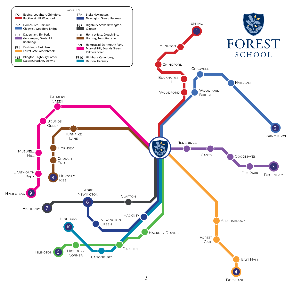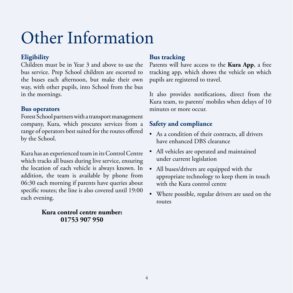# Other Information

## **Eligibility**

Children must be in Year 3 and above to use the bus service. Prep School children are escorted to the buses each afternoon, but make their own way, with other pupils, into School from the bus in the mornings.

### **Bus operators**

Forest School partners with a transport management company, Kura, which procures services from a range of operators best suited for the routes offered by the School.

Kura has an experienced team in its Control Centre which tracks all buses during live service, ensuring the location of each vehicle is always known. In addition, the team is available by phone from 06:30 each morning if parents have queries about specific routes; the line is also covered until 19:00 each evening.

#### **Kura control centre number: 01753 907 950**

## **Bus tracking**

Parents will have access to the **Kura App**, a free tracking app, which shows the vehicle on which pupils are registered to travel.

It also provides notifications, direct from the Kura team, to parents' mobiles when delays of 10 minutes or more occur.

### **Safety and compliance**

- As a condition of their contracts, all drivers have enhanced DBS clearance
- All vehicles are operated and maintained under current legislation
- All buses/drivers are equipped with the appropriate technology to keep them in touch with the Kura control centre
- Where possible, regular drivers are used on the routes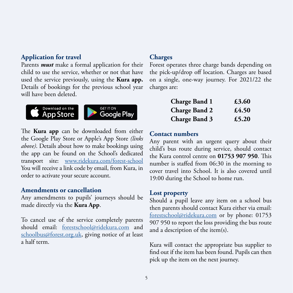#### **Application for travel**

Parents *must* make a formal application for their child to use the service, whether or not that have used the service previously, using the **Kura app.**  Details of bookings for the previous school year will have been deleted.





The **Kura app** can be downloaded from either the Google Play Store or Apple's App Store *(links above)*. Details about how to make bookings using the app can be found on the School's dedicated transport site: [www.ridekura.com/forest-school](http://www.ridekura.com/forest-school) You will receive a link code by email, from Kura, in order to activate your secure account.

#### **Amendments or cancellation**

Any amendments to pupils' journeys should be made directly via the **Kura App**.

To cancel use of the service completely parents should email: [forestschool@ridekura.com](mailto:forestschool%40ridekura.com?subject=Cancellation%20of%20School%20Bus%20Service) and [schoolbus@forest.org.uk,](mailto:schoolbus%40forest.org.uk?subject=Cancellation%20of%20School%20Bus%20Service) giving notice of at least a half term.

#### **Charges**

Forest operates three charge bands depending on the pick-up/drop off location. Charges are based on a single, one-way journey. For 2021/22 the charges are:

| <b>Charge Band 1</b> | £3.60 |
|----------------------|-------|
| <b>Charge Band 2</b> | £4.50 |
| <b>Charge Band 3</b> | £5.20 |

#### **Contact numbers**

Any parent with an urgent query about their child's bus route during service, should contact the Kura control centre on **01753 907 950**. This number is staffed from 06:30 in the morning to cover travel into School. It is also covered until 19:00 during the School to home run.

#### **Lost property**

Should a pupil leave any item on a school bus then parents should contact Kura either via email: [forestschool@ridekura.com](mailto:forestschool%40ridekura.com?subject=Lost%20Property%20Query) or by phone: 01753 907 950 to report the loss providing the bus route and a description of the item(s).

Kura will contact the appropriate bus supplier to find out if the item has been found. Pupils can then pick up the item on the next journey.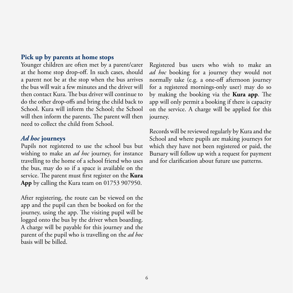#### **Pick up by parents at home stops**

Younger children are often met by a parent/carer at the home stop drop-off. In such cases, should a parent not be at the stop when the bus arrives the bus will wait a few minutes and the driver will then contact Kura. The bus driver will continue to do the other drop-offs and bring the child back to School. Kura will inform the School; the School will then inform the parents. The parent will then need to collect the child from School.

#### *Ad hoc* **journeys**

Pupils not registered to use the school bus but wishing to make an *ad hoc* journey, for instance travelling to the home of a school friend who uses the bus, may do so if a space is available on the service. The parent must first register on the **Kura App** by calling the Kura team on 01753 907950.

After registering, the route can be viewed on the app and the pupil can then be booked on for the journey, using the app. The visiting pupil will be logged onto the bus by the driver when boarding. A charge will be payable for this journey and the parent of the pupil who is travelling on the *ad hoc* basis will be billed.

Registered bus users who wish to make an *ad hoc* booking for a journey they would not normally take (e.g. a one-off afternoon journey for a registered mornings-only user) may do so by making the booking via the **Kura app**. The app will only permit a booking if there is capacity on the service. A charge will be applied for this journey.

Records will be reviewed regularly by Kura and the School and where pupils are making journeys for which they have not been registered or paid, the Bursary will follow up with a request for payment and for clarification about future use patterns.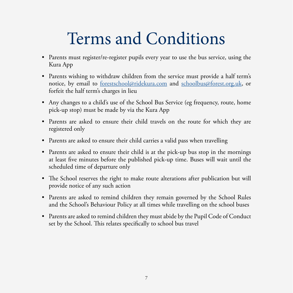# Terms and Conditions

- Parents must register/re-register pupils every year to use the bus service, using the Kura App
- Parents wishing to withdraw children from the service must provide a half term's notice, by email to [forestschool@ridekura.com](mailto:forestschool%40ridekura.com?subject=Cancellation%20of%20Forest%20School%20Bus%20Service) and [schoolbus@forest.org.uk](mailto:schoolbus%40forest.org.uk?subject=Cancellation%20of%20School%20Bus%20Service), or forfeit the half term's charges in lieu
- Any changes to a child's use of the School Bus Service (eg frequency, route, home pick-up stop) must be made by via the Kura App
- Parents are asked to ensure their child travels on the route for which they are registered only
- Parents are asked to ensure their child carries a valid pass when travelling
- Parents are asked to ensure their child is at the pick-up bus stop in the mornings at least five minutes before the published pick-up time. Buses will wait until the scheduled time of departure only
- The School reserves the right to make route alterations after publication but will provide notice of any such action
- Parents are asked to remind children they remain governed by the School Rules and the School's Behaviour Policy at all times while travelling on the school buses
- Parents are asked to remind children they must abide by the Pupil Code of Conduct set by the School. This relates specifically to school bus travel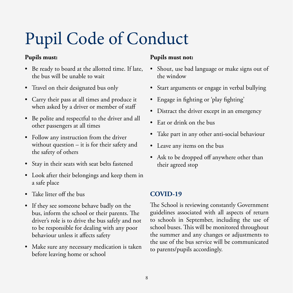# Pupil Code of Conduct

### **Pupils must:**

- Be ready to board at the allotted time. If late, the bus will be unable to wait
- Travel on their designated bus only
- Carry their pass at all times and produce it when asked by a driver or member of staff
- Be polite and respectful to the driver and all other passengers at all times
- Follow any instruction from the driver without question – it is for their safety and the safety of others
- Stay in their seats with seat belts fastened
- Look after their belongings and keep them in a safe place
- Take litter off the bus
- If they see someone behave badly on the bus, inform the school or their parents. The driver's role is to drive the bus safely and not to be responsible for dealing with any poor behaviour unless it affects safety
- Make sure any necessary medication is taken before leaving home or school

#### **Pupils must not:**

- Shout, use bad language or make signs out of the window
- Start arguments or engage in verbal bullying
- Engage in fighting or 'play fighting'
- Distract the driver except in an emergency
- Eat or drink on the bus
- Take part in any other anti-social behaviour
- Leave any items on the bus
- Ask to be dropped off anywhere other than their agreed stop

### **COVID-19**

The School is reviewing constantly Government guidelines associated with all aspects of return to schools in September, including the use of school buses. This will be monitored throughout the summer and any changes or adjustments to the use of the bus service will be communicated to parents/pupils accordingly.